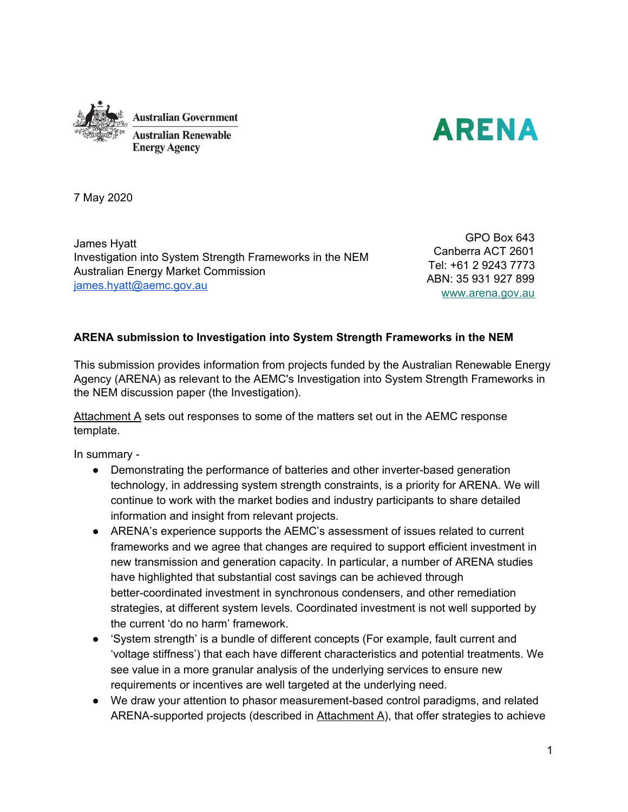



7 May 2020

James Hyatt Investigation into System Strength Frameworks in the NEM Australian Energy Market Commission [james.hyatt@aemc.gov.au](mailto:james.hyatt@aemc.gov.au)

GPO Box 643 Canberra ACT 2601 Tel: +61 2 9243 7773 ABN: 35 931 927 899 [www.arena.gov.au](http://www.arena.gov.au/)

# **ARENA submission to Investigation into System Strength Frameworks in the NEM**

This submission provides information from projects funded by the Australian Renewable Energy Agency (ARENA) as relevant to the AEMC's Investigation into System Strength Frameworks in the NEM discussion paper (the Investigation).

Attachment A sets out responses to some of the matters set out in the AEMC response template.

In summary -

- Demonstrating the performance of batteries and other inverter-based generation technology, in addressing system strength constraints, is a priority for ARENA. We will continue to work with the market bodies and industry participants to share detailed information and insight from relevant projects.
- ARENA's experience supports the AEMC's assessment of issues related to current frameworks and we agree that changes are required to support efficient investment in new transmission and generation capacity. In particular, a number of ARENA studies have highlighted that substantial cost savings can be achieved through better-coordinated investment in synchronous condensers, and other remediation strategies, at different system levels. Coordinated investment is not well supported by the current 'do no harm' framework.
- 'System strength' is a bundle of different concepts (For example, fault current and 'voltage stiffness') that each have different characteristics and potential treatments. We see value in a more granular analysis of the underlying services to ensure new requirements or incentives are well targeted at the underlying need.
- We draw your attention to phasor measurement-based control paradigms, and related ARENA-supported projects (described in  $Attachment A$ ), that offer strategies to achieve</u>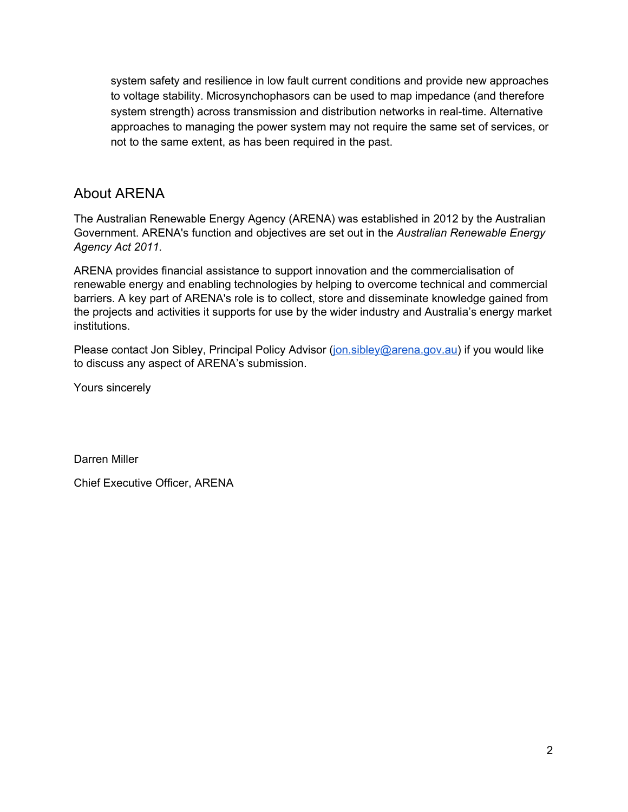system safety and resilience in low fault current conditions and provide new approaches to voltage stability. Microsynchophasors can be used to map impedance (and therefore system strength) across transmission and distribution networks in real-time. Alternative approaches to managing the power system may not require the same set of services, or not to the same extent, as has been required in the past.

# About ARENA

The Australian Renewable Energy Agency (ARENA) was established in 2012 by the Australian Government. ARENA's function and objectives are set out in the *Australian Renewable Energy Agency Act 2011.*

ARENA provides financial assistance to support innovation and the commercialisation of renewable energy and enabling technologies by helping to overcome technical and commercial barriers. A key part of ARENA's role is to collect, store and disseminate knowledge gained from the projects and activities it supports for use by the wider industry and Australia's energy market institutions.

Please contact Jon Sibley, Principal Policy Advisor ([jon.sibley@arena.gov.au](mailto:jon.sibley@arena.gov.au)) if you would like to discuss any aspect of ARENA's submission.

Yours sincerely

Darren Miller

Chief Executive Officer, ARENA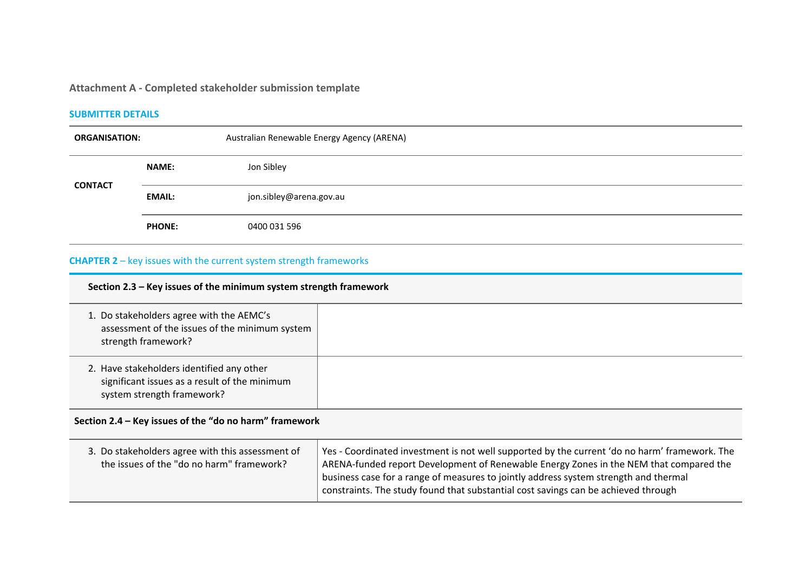# **Attachment A - Completed stakeholder submission template**

#### **SUBMITTER DETAILS**

| <b>ORGANISATION:</b> |               | Australian Renewable Energy Agency (ARENA) |
|----------------------|---------------|--------------------------------------------|
| <b>CONTACT</b>       | <b>NAME:</b>  | Jon Sibley                                 |
|                      | <b>EMAIL:</b> | jon.sibley@arena.gov.au                    |
|                      | <b>PHONE:</b> | 0400 031 596                               |

# **CHAPTER 2** – key issues with the current system strength frameworks

# **Section 2.3 – Key issues of the minimum system strength framework**

| 1. Do stakeholders agree with the AEMC's<br>assessment of the issues of the minimum system<br>strength framework?        |  |
|--------------------------------------------------------------------------------------------------------------------------|--|
| 2. Have stakeholders identified any other<br>significant issues as a result of the minimum<br>system strength framework? |  |

# **Section 2.4 – Key issues of the "do no harm" framework**

| 3. Do stakeholders agree with this assessment of | Yes - Coordinated investment is not well supported by the current 'do no harm' framework. The                                                                              |
|--------------------------------------------------|----------------------------------------------------------------------------------------------------------------------------------------------------------------------------|
| the issues of the "do no harm" framework?        | ARENA-funded report Development of Renewable Energy Zones in the NEM that compared the                                                                                     |
|                                                  | business case for a range of measures to jointly address system strength and thermal<br>constraints. The study found that substantial cost savings can be achieved through |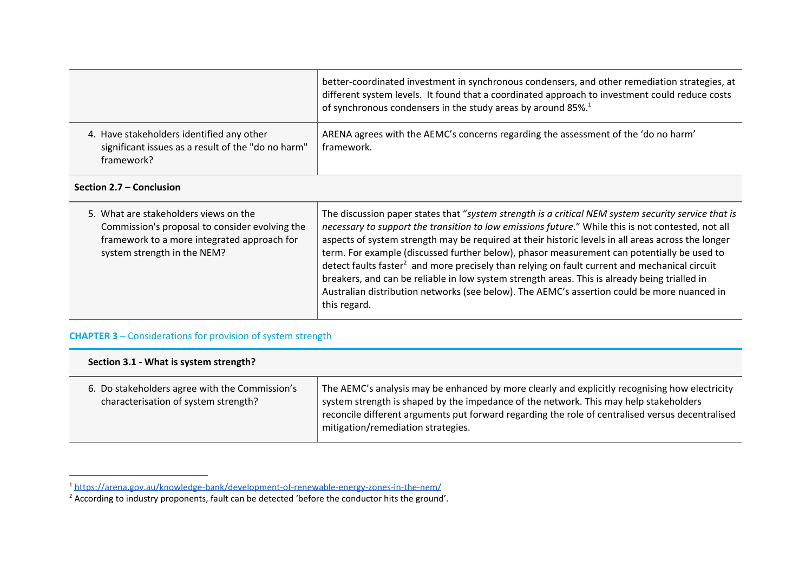|                                                                                                               | better-coordinated investment in synchronous condensers, and other remediation strategies, at<br>different system levels. It found that a coordinated approach to investment could reduce costs<br>of synchronous condensers in the study areas by around 85%. <sup>1</sup> |
|---------------------------------------------------------------------------------------------------------------|-----------------------------------------------------------------------------------------------------------------------------------------------------------------------------------------------------------------------------------------------------------------------------|
| 4. Have stakeholders identified any other<br>significant issues as a result of the "do no harm"<br>framework? | ARENA agrees with the AEMC's concerns regarding the assessment of the 'do no harm'<br>framework.                                                                                                                                                                            |

#### **Section 2.7 – Conclusion**

| 5. What are stakeholders views on the<br>Commission's proposal to consider evolving the<br>framework to a more integrated approach for<br>system strength in the NEM? | The discussion paper states that "system strength is a critical NEM system security service that is<br>necessary to support the transition to low emissions future." While this is not contested, not all<br>aspects of system strength may be required at their historic levels in all areas across the longer<br>term. For example (discussed further below), phasor measurement can potentially be used to<br>detect faults faster <sup>2</sup> and more precisely than relying on fault current and mechanical circuit<br>breakers, and can be reliable in low system strength areas. This is already being trialled in<br>Australian distribution networks (see below). The AEMC's assertion could be more nuanced in<br>this regard. |
|-----------------------------------------------------------------------------------------------------------------------------------------------------------------------|--------------------------------------------------------------------------------------------------------------------------------------------------------------------------------------------------------------------------------------------------------------------------------------------------------------------------------------------------------------------------------------------------------------------------------------------------------------------------------------------------------------------------------------------------------------------------------------------------------------------------------------------------------------------------------------------------------------------------------------------|
|-----------------------------------------------------------------------------------------------------------------------------------------------------------------------|--------------------------------------------------------------------------------------------------------------------------------------------------------------------------------------------------------------------------------------------------------------------------------------------------------------------------------------------------------------------------------------------------------------------------------------------------------------------------------------------------------------------------------------------------------------------------------------------------------------------------------------------------------------------------------------------------------------------------------------------|

# **CHAPTER 3** – Considerations for provision of system strength

| Section 3.1 - What is system strength?                                                 |                                                                                                                                                                                                                                                                                                                                   |  |
|----------------------------------------------------------------------------------------|-----------------------------------------------------------------------------------------------------------------------------------------------------------------------------------------------------------------------------------------------------------------------------------------------------------------------------------|--|
| 6. Do stakeholders agree with the Commission's<br>characterisation of system strength? | The AEMC's analysis may be enhanced by more clearly and explicitly recognising how electricity<br>system strength is shaped by the impedance of the network. This may help stakeholders<br>reconcile different arguments put forward regarding the role of centralised versus decentralised<br>mitigation/remediation strategies. |  |

<sup>1</sup> <https://arena.gov.au/knowledge-bank/development-of-renewable-energy-zones-in-the-nem/>

<sup>&</sup>lt;sup>2</sup> According to industry proponents, fault can be detected 'before the conductor hits the ground'.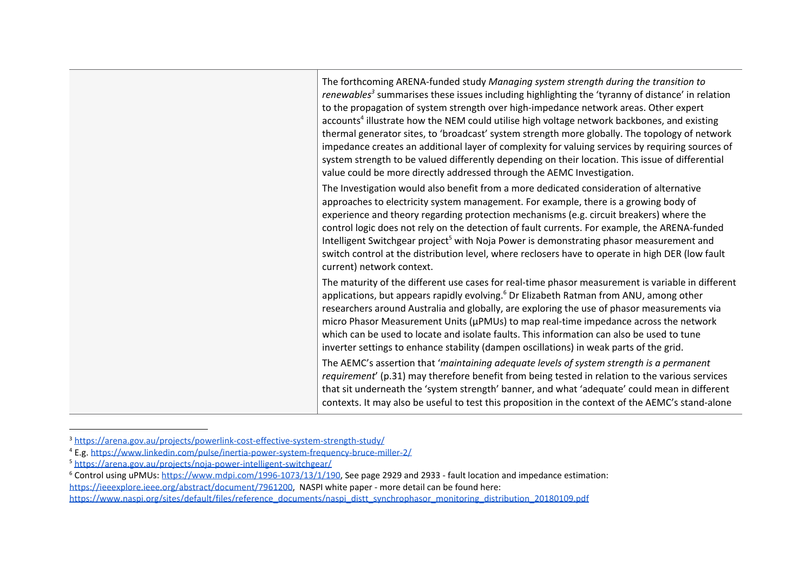| The forthcoming ARENA-funded study Managing system strength during the transition to<br>renewables <sup>3</sup> summarises these issues including highlighting the 'tyranny of distance' in relation<br>to the propagation of system strength over high-impedance network areas. Other expert<br>accounts <sup>4</sup> illustrate how the NEM could utilise high voltage network backbones, and existing<br>thermal generator sites, to 'broadcast' system strength more globally. The topology of network<br>impedance creates an additional layer of complexity for valuing services by requiring sources of<br>system strength to be valued differently depending on their location. This issue of differential<br>value could be more directly addressed through the AEMC Investigation. |
|----------------------------------------------------------------------------------------------------------------------------------------------------------------------------------------------------------------------------------------------------------------------------------------------------------------------------------------------------------------------------------------------------------------------------------------------------------------------------------------------------------------------------------------------------------------------------------------------------------------------------------------------------------------------------------------------------------------------------------------------------------------------------------------------|
| The Investigation would also benefit from a more dedicated consideration of alternative<br>approaches to electricity system management. For example, there is a growing body of<br>experience and theory regarding protection mechanisms (e.g. circuit breakers) where the<br>control logic does not rely on the detection of fault currents. For example, the ARENA-funded<br>Intelligent Switchgear project <sup>5</sup> with Noja Power is demonstrating phasor measurement and<br>switch control at the distribution level, where reclosers have to operate in high DER (low fault<br>current) network context.                                                                                                                                                                          |
| The maturity of the different use cases for real-time phasor measurement is variable in different<br>applications, but appears rapidly evolving. <sup>6</sup> Dr Elizabeth Ratman from ANU, among other<br>researchers around Australia and globally, are exploring the use of phasor measurements via<br>micro Phasor Measurement Units (µPMUs) to map real-time impedance across the network<br>which can be used to locate and isolate faults. This information can also be used to tune<br>inverter settings to enhance stability (dampen oscillations) in weak parts of the grid.                                                                                                                                                                                                       |
| The AEMC's assertion that 'maintaining adequate levels of system strength is a permanent<br>requirement' (p.31) may therefore benefit from being tested in relation to the various services<br>that sit underneath the 'system strength' banner, and what 'adequate' could mean in different<br>contexts. It may also be useful to test this proposition in the context of the AEMC's stand-alone                                                                                                                                                                                                                                                                                                                                                                                            |

<sup>3</sup> <https://arena.gov.au/projects/powerlink-cost-effective-system-strength-study/>

<sup>4</sup> E.g. <https://www.linkedin.com/pulse/inertia-power-system-frequency-bruce-miller-2/>

<sup>5</sup> <https://arena.gov.au/projects/noja-power-intelligent-switchgear/>

 $\frac{1}{6}$  Control using uPMUs: <https://www.mdpi.com/1996-1073/13/1/190>, See page 2929 and 2933 - fault location and impedance estimation:

[https://ieeexplore.ieee.org/abstract/document/7961200,](https://ieeexplore.ieee.org/abstract/document/7961200) NASPI white paper - more detail can be found here:

[https://www.naspi.org/sites/default/files/reference\\_documents/naspi\\_distt\\_synchrophasor\\_monitoring\\_distribution\\_20180109.pdf](https://www.naspi.org/sites/default/files/reference_documents/naspi_distt_synchrophasor_monitoring_distribution_20180109.pdf)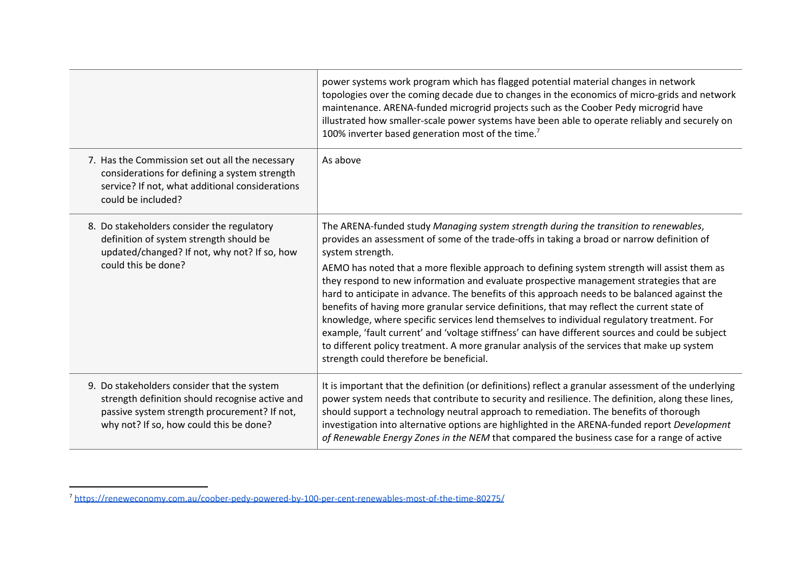|                                                                                                                                                                                           | power systems work program which has flagged potential material changes in network<br>topologies over the coming decade due to changes in the economics of micro-grids and network<br>maintenance. ARENA-funded microgrid projects such as the Coober Pedy microgrid have<br>illustrated how smaller-scale power systems have been able to operate reliably and securely on<br>100% inverter based generation most of the time. <sup>7</sup>                                                                                                                                                                                                                                                                                                                                                                                                                                                                                                  |
|-------------------------------------------------------------------------------------------------------------------------------------------------------------------------------------------|-----------------------------------------------------------------------------------------------------------------------------------------------------------------------------------------------------------------------------------------------------------------------------------------------------------------------------------------------------------------------------------------------------------------------------------------------------------------------------------------------------------------------------------------------------------------------------------------------------------------------------------------------------------------------------------------------------------------------------------------------------------------------------------------------------------------------------------------------------------------------------------------------------------------------------------------------|
| 7. Has the Commission set out all the necessary<br>considerations for defining a system strength<br>service? If not, what additional considerations<br>could be included?                 | As above                                                                                                                                                                                                                                                                                                                                                                                                                                                                                                                                                                                                                                                                                                                                                                                                                                                                                                                                      |
| 8. Do stakeholders consider the regulatory<br>definition of system strength should be<br>updated/changed? If not, why not? If so, how<br>could this be done?                              | The ARENA-funded study Managing system strength during the transition to renewables,<br>provides an assessment of some of the trade-offs in taking a broad or narrow definition of<br>system strength.<br>AEMO has noted that a more flexible approach to defining system strength will assist them as<br>they respond to new information and evaluate prospective management strategies that are<br>hard to anticipate in advance. The benefits of this approach needs to be balanced against the<br>benefits of having more granular service definitions, that may reflect the current state of<br>knowledge, where specific services lend themselves to individual regulatory treatment. For<br>example, 'fault current' and 'voltage stiffness' can have different sources and could be subject<br>to different policy treatment. A more granular analysis of the services that make up system<br>strength could therefore be beneficial. |
| 9. Do stakeholders consider that the system<br>strength definition should recognise active and<br>passive system strength procurement? If not,<br>why not? If so, how could this be done? | It is important that the definition (or definitions) reflect a granular assessment of the underlying<br>power system needs that contribute to security and resilience. The definition, along these lines,<br>should support a technology neutral approach to remediation. The benefits of thorough<br>investigation into alternative options are highlighted in the ARENA-funded report Development<br>of Renewable Energy Zones in the NEM that compared the business case for a range of active                                                                                                                                                                                                                                                                                                                                                                                                                                             |

<sup>7</sup> <https://reneweconomy.com.au/coober-pedy-powered-by-100-per-cent-renewables-most-of-the-time-80275/>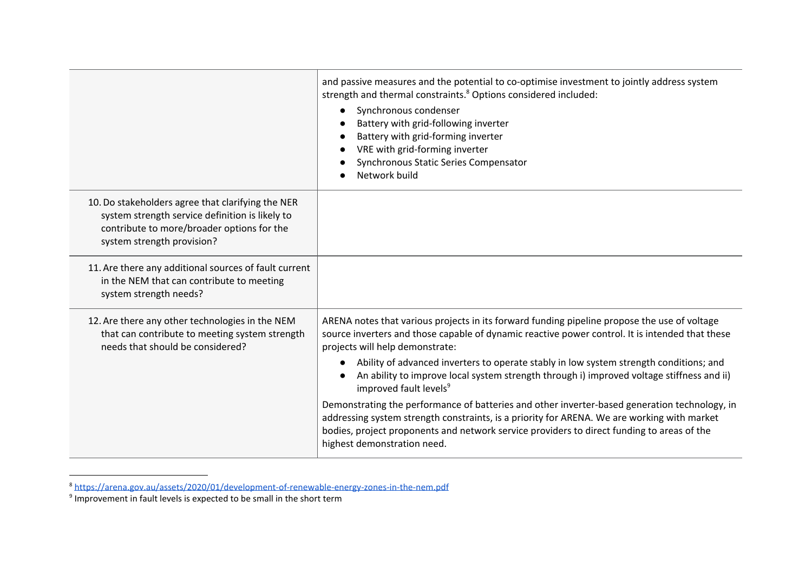|                                                                                                                                                                                  | and passive measures and the potential to co-optimise investment to jointly address system<br>strength and thermal constraints. <sup>8</sup> Options considered included:<br>Synchronous condenser<br>Battery with grid-following inverter<br>Battery with grid-forming inverter<br>VRE with grid-forming inverter<br>Synchronous Static Series Compensator<br>Network build                                                                                                                                                                                                                                                                                                                                                                                                                 |
|----------------------------------------------------------------------------------------------------------------------------------------------------------------------------------|----------------------------------------------------------------------------------------------------------------------------------------------------------------------------------------------------------------------------------------------------------------------------------------------------------------------------------------------------------------------------------------------------------------------------------------------------------------------------------------------------------------------------------------------------------------------------------------------------------------------------------------------------------------------------------------------------------------------------------------------------------------------------------------------|
| 10. Do stakeholders agree that clarifying the NER<br>system strength service definition is likely to<br>contribute to more/broader options for the<br>system strength provision? |                                                                                                                                                                                                                                                                                                                                                                                                                                                                                                                                                                                                                                                                                                                                                                                              |
| 11. Are there any additional sources of fault current<br>in the NEM that can contribute to meeting<br>system strength needs?                                                     |                                                                                                                                                                                                                                                                                                                                                                                                                                                                                                                                                                                                                                                                                                                                                                                              |
| 12. Are there any other technologies in the NEM<br>that can contribute to meeting system strength<br>needs that should be considered?                                            | ARENA notes that various projects in its forward funding pipeline propose the use of voltage<br>source inverters and those capable of dynamic reactive power control. It is intended that these<br>projects will help demonstrate:<br>Ability of advanced inverters to operate stably in low system strength conditions; and<br>An ability to improve local system strength through i) improved voltage stiffness and ii)<br>improved fault levels <sup>9</sup><br>Demonstrating the performance of batteries and other inverter-based generation technology, in<br>addressing system strength constraints, is a priority for ARENA. We are working with market<br>bodies, project proponents and network service providers to direct funding to areas of the<br>highest demonstration need. |

<sup>&</sup>lt;sup>8</sup> <https://arena.gov.au/assets/2020/01/development-of-renewable-energy-zones-in-the-nem.pdf><br><sup>9</sup> Improvement in fault levels is expected to be small in the short term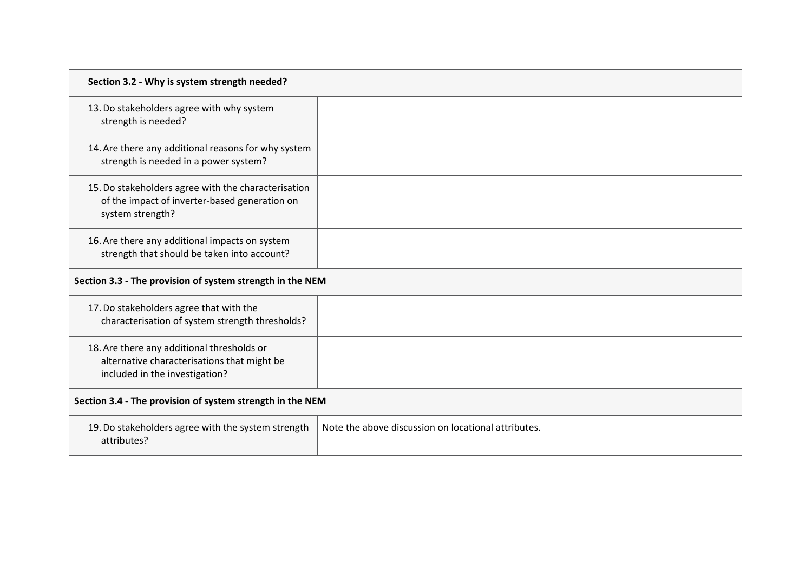| Section 3.2 - Why is system strength needed?                                                                             |  |
|--------------------------------------------------------------------------------------------------------------------------|--|
| 13. Do stakeholders agree with why system<br>strength is needed?                                                         |  |
| 14. Are there any additional reasons for why system<br>strength is needed in a power system?                             |  |
| 15. Do stakeholders agree with the characterisation<br>of the impact of inverter-based generation on<br>system strength? |  |
| 16. Are there any additional impacts on system<br>strength that should be taken into account?                            |  |
| Section 3.3 - The provision of system strength in the NEM                                                                |  |
| 17. Do stakeholders agree that with the                                                                                  |  |

| characterisation of system strength thresholds?                                                                             |  |
|-----------------------------------------------------------------------------------------------------------------------------|--|
| 18. Are there any additional thresholds or<br>alternative characterisations that might be<br>included in the investigation? |  |

# **Section 3.4 - The provision of system strength in the NEM**

| 19. Do stakeholders agree with the system strength $\parallel$ . | Note the above discussion on locational attributes. |
|------------------------------------------------------------------|-----------------------------------------------------|
| attributes?                                                      |                                                     |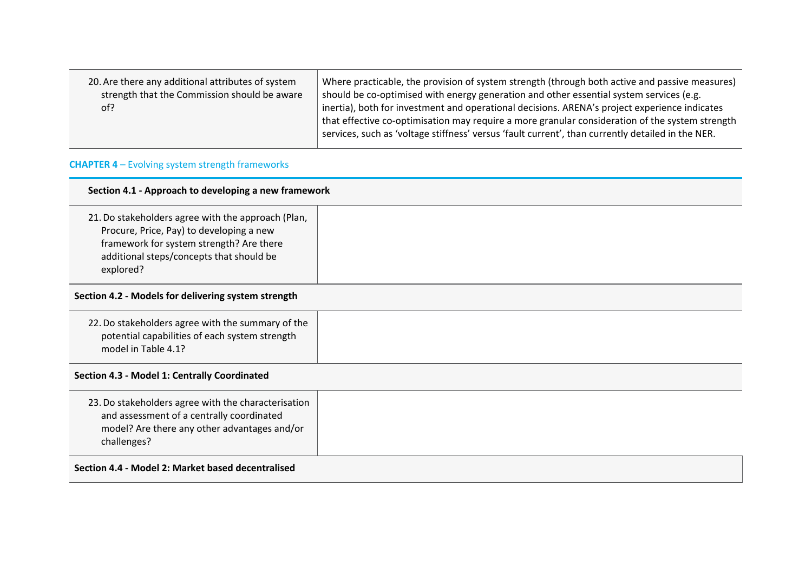| 20. Are there any additional attributes of system<br>strength that the Commission should be aware<br>of? | Where practicable, the provision of system strength (through both active and passive measures)<br>should be co-optimised with energy generation and other essential system services (e.g.<br>inertia), both for investment and operational decisions. ARENA's project experience indicates<br>that effective co-optimisation may require a more granular consideration of the system strength<br>services, such as 'voltage stiffness' versus 'fault current', than currently detailed in the NER. |
|----------------------------------------------------------------------------------------------------------|----------------------------------------------------------------------------------------------------------------------------------------------------------------------------------------------------------------------------------------------------------------------------------------------------------------------------------------------------------------------------------------------------------------------------------------------------------------------------------------------------|
|----------------------------------------------------------------------------------------------------------|----------------------------------------------------------------------------------------------------------------------------------------------------------------------------------------------------------------------------------------------------------------------------------------------------------------------------------------------------------------------------------------------------------------------------------------------------------------------------------------------------|

# **CHAPTER 4** – Evolving system strength frameworks

#### **Section 4.1 - Approach to developing a new framework**

21.Do stakeholders agree with the approach (Plan, Procure, Price, Pay) to developing a new framework for system strength? Are there additional steps/concepts that should be explored?

#### **Section 4.2 - Models for delivering system strength**

| 22. Do stakeholders agree with the summary of the<br>potential capabilities of each system strength<br>model in Table 4.1? |  |
|----------------------------------------------------------------------------------------------------------------------------|--|
|----------------------------------------------------------------------------------------------------------------------------|--|

#### **Section 4.3 - Model 1: Centrally Coordinated**

**Section 4.4 - Model 2: Market based decentralised**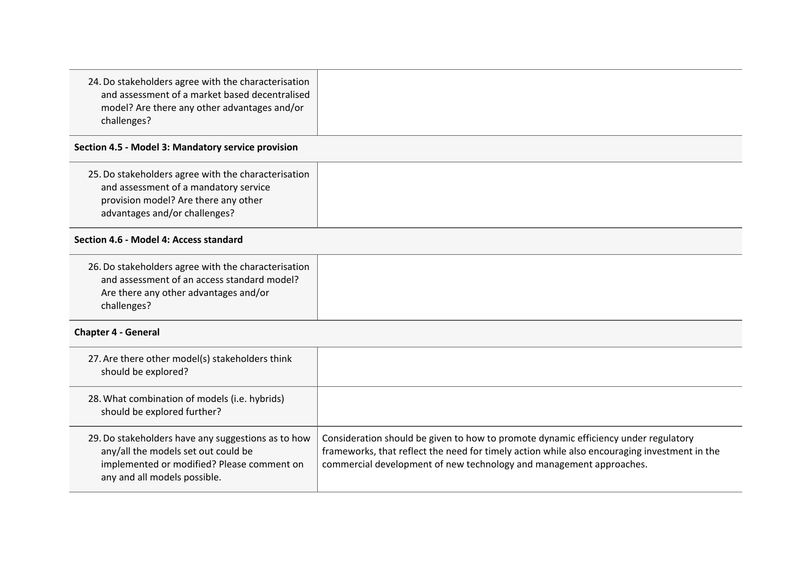| 24. Do stakeholders agree with the characterisation<br>and assessment of a market based decentralised<br>model? Are there any other advantages and/or<br>challenges?    |                                                                                                                                                                                                                                                            |  |
|-------------------------------------------------------------------------------------------------------------------------------------------------------------------------|------------------------------------------------------------------------------------------------------------------------------------------------------------------------------------------------------------------------------------------------------------|--|
| Section 4.5 - Model 3: Mandatory service provision                                                                                                                      |                                                                                                                                                                                                                                                            |  |
| 25. Do stakeholders agree with the characterisation<br>and assessment of a mandatory service<br>provision model? Are there any other<br>advantages and/or challenges?   |                                                                                                                                                                                                                                                            |  |
| Section 4.6 - Model 4: Access standard                                                                                                                                  |                                                                                                                                                                                                                                                            |  |
| 26. Do stakeholders agree with the characterisation<br>and assessment of an access standard model?<br>Are there any other advantages and/or<br>challenges?              |                                                                                                                                                                                                                                                            |  |
| <b>Chapter 4 - General</b>                                                                                                                                              |                                                                                                                                                                                                                                                            |  |
| 27. Are there other model(s) stakeholders think<br>should be explored?                                                                                                  |                                                                                                                                                                                                                                                            |  |
| 28. What combination of models (i.e. hybrids)<br>should be explored further?                                                                                            |                                                                                                                                                                                                                                                            |  |
| 29. Do stakeholders have any suggestions as to how<br>any/all the models set out could be<br>implemented or modified? Please comment on<br>any and all models possible. | Consideration should be given to how to promote dynamic efficiency under regulatory<br>frameworks, that reflect the need for timely action while also encouraging investment in the<br>commercial development of new technology and management approaches. |  |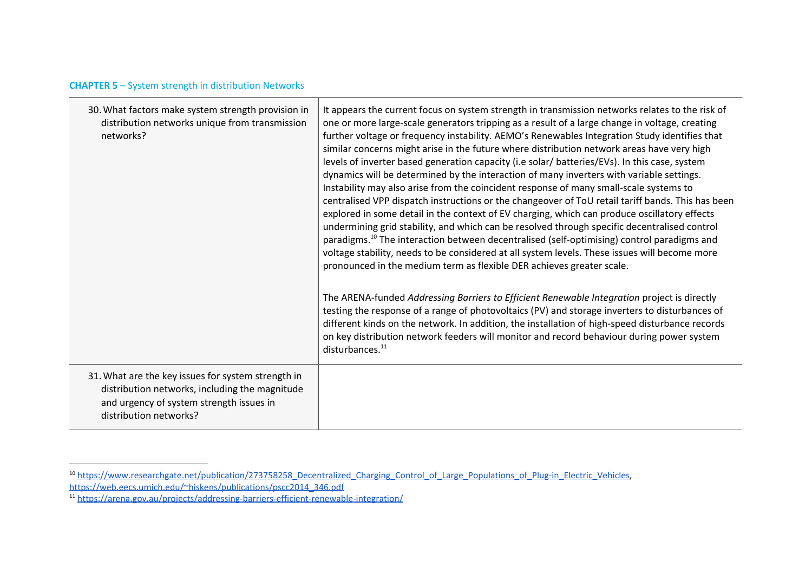# **CHAPTER 5** – System strength in distribution Networks

| 30. What factors make system strength provision in<br>distribution networks unique from transmission<br>networks?                                                          | It appears the current focus on system strength in transmission networks relates to the risk of<br>one or more large-scale generators tripping as a result of a large change in voltage, creating<br>further voltage or frequency instability. AEMO's Renewables Integration Study identifies that<br>similar concerns might arise in the future where distribution network areas have very high<br>levels of inverter based generation capacity (i.e solar/ batteries/EVs). In this case, system<br>dynamics will be determined by the interaction of many inverters with variable settings.<br>Instability may also arise from the coincident response of many small-scale systems to<br>centralised VPP dispatch instructions or the changeover of ToU retail tariff bands. This has been<br>explored in some detail in the context of EV charging, which can produce oscillatory effects<br>undermining grid stability, and which can be resolved through specific decentralised control<br>paradigms. <sup>10</sup> The interaction between decentralised (self-optimising) control paradigms and<br>voltage stability, needs to be considered at all system levels. These issues will become more<br>pronounced in the medium term as flexible DER achieves greater scale.<br>The ARENA-funded Addressing Barriers to Efficient Renewable Integration project is directly<br>testing the response of a range of photovoltaics (PV) and storage inverters to disturbances of<br>different kinds on the network. In addition, the installation of high-speed disturbance records<br>on key distribution network feeders will monitor and record behaviour during power system<br>disturbances. <sup>11</sup> |
|----------------------------------------------------------------------------------------------------------------------------------------------------------------------------|------------------------------------------------------------------------------------------------------------------------------------------------------------------------------------------------------------------------------------------------------------------------------------------------------------------------------------------------------------------------------------------------------------------------------------------------------------------------------------------------------------------------------------------------------------------------------------------------------------------------------------------------------------------------------------------------------------------------------------------------------------------------------------------------------------------------------------------------------------------------------------------------------------------------------------------------------------------------------------------------------------------------------------------------------------------------------------------------------------------------------------------------------------------------------------------------------------------------------------------------------------------------------------------------------------------------------------------------------------------------------------------------------------------------------------------------------------------------------------------------------------------------------------------------------------------------------------------------------------------------------------------------------------------------------------------------------------------|
| 31. What are the key issues for system strength in<br>distribution networks, including the magnitude<br>and urgency of system strength issues in<br>distribution networks? |                                                                                                                                                                                                                                                                                                                                                                                                                                                                                                                                                                                                                                                                                                                                                                                                                                                                                                                                                                                                                                                                                                                                                                                                                                                                                                                                                                                                                                                                                                                                                                                                                                                                                                                  |

<sup>&</sup>lt;sup>10</sup> [https://www.researchgate.net/publication/273758258\\_Decentralized\\_Charging\\_Control\\_of\\_Large\\_Populations\\_of\\_Plug-in\\_Electric\\_Vehicles,](https://www.researchgate.net/publication/273758258_Decentralized_Charging_Control_of_Large_Populations_of_Plug-in_Electric_Vehicles) [https://web.eecs.umich.edu/~hiskens/publications/pscc2014\\_346.pdf](https://web.eecs.umich.edu/~hiskens/publications/pscc2014_346.pdf)

<sup>11</sup> <https://arena.gov.au/projects/addressing-barriers-efficient-renewable-integration/>